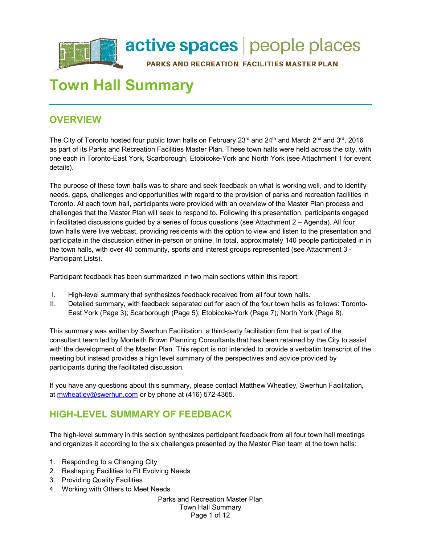

# **Town Hall Summary**

# **OVERVIEW**

The City of Toronto hosted four public town halls on February 23<sup>rd</sup> and 24<sup>th</sup> and March 2<sup>nd</sup> and 3<sup>rd</sup>, 2016 as part of its Parks and Recreation Facilities Master Plan. These town halls were held across the city, with one each in Toronto-East York, Scarborough, Etobicoke-York and North York (see Attachment 1 for event details).

The purpose of these town halls was to share and seek feedback on what is working well, and to identify needs, gaps, challenges and opportunities with regard to the provision of parks and recreation facilities in Toronto. At each town hall, participants were provided with an overview of the Master Plan process and challenges that the Master Plan will seek to respond to. Following this presentation, participants engaged in facilitated discussions guided by a series of focus questions (see Attachment 2 – Agenda). All four town halls were live webcast, providing residents with the option to view and listen to the presentation and participate in the discussion either in-person or online. In total, approximately 140 people participated in in the town halls, with over 40 community, sports and interest groups represented (see Attachment 3 - Participant Lists).

Participant feedback has been summarized in two main sections within this report:

- I. High-level summary that synthesizes feedback received from all four town halls.
- II. Detailed summary, with feedback separated out for each of the four town halls as follows: Toronto-East York (Page 3); Scarborough (Page 5); Etobicoke-York (Page 7); North York (Page 8).

This summary was written by Swerhun Facilitation, a third-party facilitation firm that is part of the consultant team led by Monteith Brown Planning Consultants that has been retained by the City to assist with the development of the Master Plan. This report is not intended to provide a verbatim transcript of the meeting but instead provides a high level summary of the perspectives and advice provided by participants during the facilitated discussion.

If you have any questions about this summary, please contact Matthew Wheatley, Swerhun Facilitation, at [mwheatley@swerhun.com](mailto:mwheatley@swerhun.com) or by phone at (416) 572-4365.

# **HIGH-LEVEL SUMMARY OF FEEDBACK**

The high-level summary in this section synthesizes participant feedback from all four town hall meetings and organizes it according to the six challenges presented by the Master Plan team at the town halls:

- 1. Responding to a Changing City
- 2. Reshaping Facilities to Fit Evolving Needs
- 3. Providing Quality Facilities
- 4. Working with Others to Meet Needs

Parks and Recreation Master Plan Town Hall Summary Page 1 of 12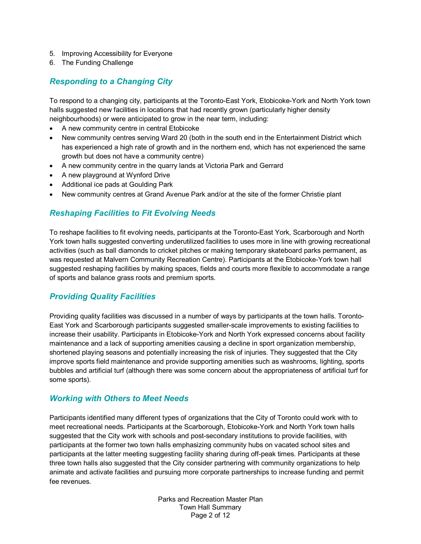- 5. Improving Accessibility for Everyone
- 6. The Funding Challenge

# *Responding to a Changing City*

To respond to a changing city, participants at the Toronto-East York, Etobicoke-York and North York town halls suggested new facilities in locations that had recently grown (particularly higher density neighbourhoods) or were anticipated to grow in the near term, including:

- A new community centre in central Etobicoke
- New community centres serving Ward 20 (both in the south end in the Entertainment District which has experienced a high rate of growth and in the northern end, which has not experienced the same growth but does not have a community centre)
- A new community centre in the quarry lands at Victoria Park and Gerrard
- A new playground at Wynford Drive
- Additional ice pads at Goulding Park
- New community centres at Grand Avenue Park and/or at the site of the former Christie plant

# *Reshaping Facilities to Fit Evolving Needs*

To reshape facilities to fit evolving needs, participants at the Toronto-East York, Scarborough and North York town halls suggested converting underutilized facilities to uses more in line with growing recreational activities (such as ball diamonds to cricket pitches or making temporary skateboard parks permanent, as was requested at Malvern Community Recreation Centre). Participants at the Etobicoke-York town hall suggested reshaping facilities by making spaces, fields and courts more flexible to accommodate a range of sports and balance grass roots and premium sports.

# *Providing Quality Facilities*

Providing quality facilities was discussed in a number of ways by participants at the town halls. Toronto-East York and Scarborough participants suggested smaller-scale improvements to existing facilities to increase their usability. Participants in Etobicoke-York and North York expressed concerns about facility maintenance and a lack of supporting amenities causing a decline in sport organization membership, shortened playing seasons and potentially increasing the risk of injuries. They suggested that the City improve sports field maintenance and provide supporting amenities such as washrooms, lighting, sports bubbles and artificial turf (although there was some concern about the appropriateness of artificial turf for some sports).

### *Working with Others to Meet Needs*

Participants identified many different types of organizations that the City of Toronto could work with to meet recreational needs. Participants at the Scarborough, Etobicoke-York and North York town halls suggested that the City work with schools and post-secondary institutions to provide facilities, with participants at the former two town halls emphasizing community hubs on vacated school sites and participants at the latter meeting suggesting facility sharing during off-peak times. Participants at these three town halls also suggested that the City consider partnering with community organizations to help animate and activate facilities and pursuing more corporate partnerships to increase funding and permit fee revenues.

> Parks and Recreation Master Plan Town Hall Summary Page 2 of 12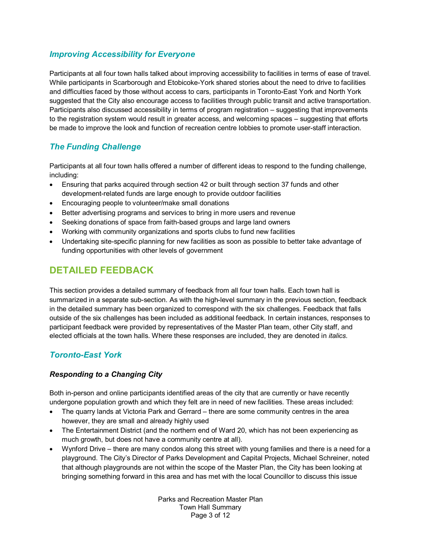# *Improving Accessibility for Everyone*

Participants at all four town halls talked about improving accessibility to facilities in terms of ease of travel. While participants in Scarborough and Etobicoke-York shared stories about the need to drive to facilities and difficulties faced by those without access to cars, participants in Toronto-East York and North York suggested that the City also encourage access to facilities through public transit and active transportation. Participants also discussed accessibility in terms of program registration – suggesting that improvements to the registration system would result in greater access, and welcoming spaces – suggesting that efforts be made to improve the look and function of recreation centre lobbies to promote user-staff interaction.

# *The Funding Challenge*

Participants at all four town halls offered a number of different ideas to respond to the funding challenge, including:

- Ensuring that parks acquired through section 42 or built through section 37 funds and other development-related funds are large enough to provide outdoor facilities
- Encouraging people to volunteer/make small donations
- Better advertising programs and services to bring in more users and revenue
- Seeking donations of space from faith-based groups and large land owners
- Working with community organizations and sports clubs to fund new facilities
- Undertaking site-specific planning for new facilities as soon as possible to better take advantage of funding opportunities with other levels of government

# **DETAILED FEEDBACK**

This section provides a detailed summary of feedback from all four town halls. Each town hall is summarized in a separate sub-section. As with the high-level summary in the previous section, feedback in the detailed summary has been organized to correspond with the six challenges. Feedback that falls outside of the six challenges has been included as additional feedback. In certain instances, responses to participant feedback were provided by representatives of the Master Plan team, other City staff, and elected officials at the town halls. Where these responses are included, they are denoted in *italics*.

### *Toronto-East York*

### *Responding to a Changing City*

Both in-person and online participants identified areas of the city that are currently or have recently undergone population growth and which they felt are in need of new facilities. These areas included:

- The quarry lands at Victoria Park and Gerrard there are some community centres in the area however, they are small and already highly used
- The Entertainment District (and the northern end of Ward 20, which has not been experiencing as much growth, but does not have a community centre at all).
- Wynford Drive there are many condos along this street with young families and there is a need for a playground. The City's Director of Parks Development and Capital Projects, Michael Schreiner, noted that although playgrounds are not within the scope of the Master Plan, the City has been looking at bringing something forward in this area and has met with the local Councillor to discuss this issue

Parks and Recreation Master Plan Town Hall Summary Page 3 of 12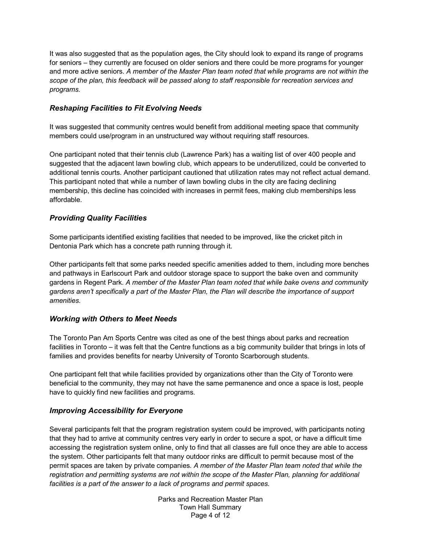It was also suggested that as the population ages, the City should look to expand its range of programs for seniors – they currently are focused on older seniors and there could be more programs for younger and more active seniors. *A member of the Master Plan team noted that while programs are not within the scope of the plan, this feedback will be passed along to staff responsible for recreation services and programs.*

### *Reshaping Facilities to Fit Evolving Needs*

It was suggested that community centres would benefit from additional meeting space that community members could use/program in an unstructured way without requiring staff resources.

One participant noted that their tennis club (Lawrence Park) has a waiting list of over 400 people and suggested that the adjacent lawn bowling club, which appears to be underutilized, could be converted to additional tennis courts. Another participant cautioned that utilization rates may not reflect actual demand. This participant noted that while a number of lawn bowling clubs in the city are facing declining membership, this decline has coincided with increases in permit fees, making club memberships less affordable.

#### *Providing Quality Facilities*

Some participants identified existing facilities that needed to be improved, like the cricket pitch in Dentonia Park which has a concrete path running through it.

Other participants felt that some parks needed specific amenities added to them, including more benches and pathways in Earlscourt Park and outdoor storage space to support the bake oven and community gardens in Regent Park. *A member of the Master Plan team noted that while bake ovens and community gardens aren't specifically a part of the Master Plan, the Plan will describe the importance of support amenities.* 

#### *Working with Others to Meet Needs*

The Toronto Pan Am Sports Centre was cited as one of the best things about parks and recreation facilities in Toronto – it was felt that the Centre functions as a big community builder that brings in lots of families and provides benefits for nearby University of Toronto Scarborough students.

One participant felt that while facilities provided by organizations other than the City of Toronto were beneficial to the community, they may not have the same permanence and once a space is lost, people have to quickly find new facilities and programs.

#### *Improving Accessibility for Everyone*

Several participants felt that the program registration system could be improved, with participants noting that they had to arrive at community centres very early in order to secure a spot, or have a difficult time accessing the registration system online, only to find that all classes are full once they are able to access the system. Other participants felt that many outdoor rinks are difficult to permit because most of the permit spaces are taken by private companies. *A member of the Master Plan team noted that while the registration and permitting systems are not within the scope of the Master Plan, planning for additional facilities is a part of the answer to a lack of programs and permit spaces.*

> Parks and Recreation Master Plan Town Hall Summary Page 4 of 12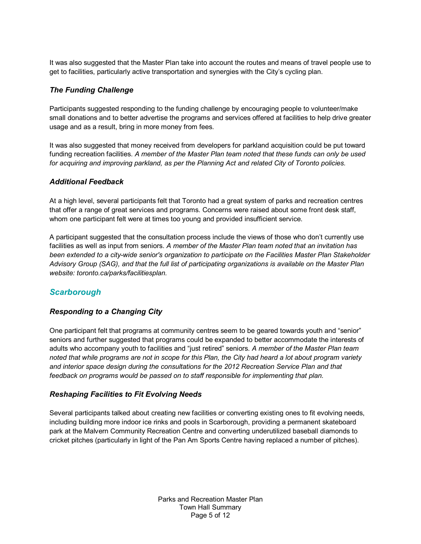It was also suggested that the Master Plan take into account the routes and means of travel people use to get to facilities, particularly active transportation and synergies with the City's cycling plan.

#### *The Funding Challenge*

Participants suggested responding to the funding challenge by encouraging people to volunteer/make small donations and to better advertise the programs and services offered at facilities to help drive greater usage and as a result, bring in more money from fees.

It was also suggested that money received from developers for parkland acquisition could be put toward funding recreation facilities. *A member of the Master Plan team noted that these funds can only be used for acquiring and improving parkland, as per the Planning Act and related City of Toronto policies.*

#### *Additional Feedback*

At a high level, several participants felt that Toronto had a great system of parks and recreation centres that offer a range of great services and programs. Concerns were raised about some front desk staff, whom one participant felt were at times too young and provided insufficient service.

A participant suggested that the consultation process include the views of those who don't currently use facilities as well as input from seniors. *A member of the Master Plan team noted that an invitation has been extended to a city-wide senior's organization to participate on the Facilities Master Plan Stakeholder Advisory Group (SAG), and that the full list of participating organizations is available on the Master Plan website: toronto.ca/parks/facilitiesplan.*

# *Scarborough*

### *Responding to a Changing City*

One participant felt that programs at community centres seem to be geared towards youth and "senior" seniors and further suggested that programs could be expanded to better accommodate the interests of adults who accompany youth to facilities and "just retired" seniors. *A member of the Master Plan team noted that while programs are not in scope for this Plan, the City had heard a lot about program variety and interior space design during the consultations for the 2012 Recreation Service Plan and that feedback on programs would be passed on to staff responsible for implementing that plan.*

#### *Reshaping Facilities to Fit Evolving Needs*

Several participants talked about creating new facilities or converting existing ones to fit evolving needs, including building more indoor ice rinks and pools in Scarborough, providing a permanent skateboard park at the Malvern Community Recreation Centre and converting underutilized baseball diamonds to cricket pitches (particularly in light of the Pan Am Sports Centre having replaced a number of pitches).

> Parks and Recreation Master Plan Town Hall Summary Page 5 of 12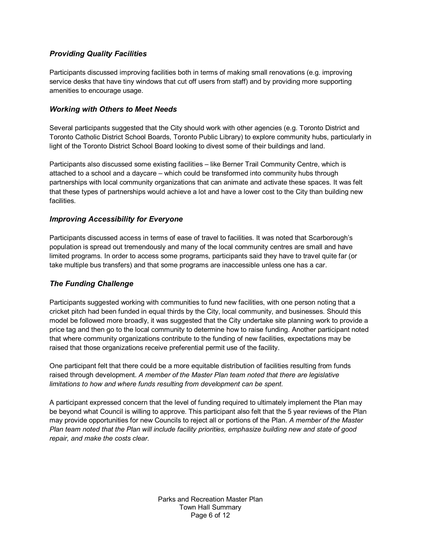#### *Providing Quality Facilities*

Participants discussed improving facilities both in terms of making small renovations (e.g. improving service desks that have tiny windows that cut off users from staff) and by providing more supporting amenities to encourage usage.

#### *Working with Others to Meet Needs*

Several participants suggested that the City should work with other agencies (e.g. Toronto District and Toronto Catholic District School Boards, Toronto Public Library) to explore community hubs, particularly in light of the Toronto District School Board looking to divest some of their buildings and land.

Participants also discussed some existing facilities – like Berner Trail Community Centre, which is attached to a school and a daycare – which could be transformed into community hubs through partnerships with local community organizations that can animate and activate these spaces. It was felt that these types of partnerships would achieve a lot and have a lower cost to the City than building new facilities.

#### *Improving Accessibility for Everyone*

Participants discussed access in terms of ease of travel to facilities. It was noted that Scarborough's population is spread out tremendously and many of the local community centres are small and have limited programs. In order to access some programs, participants said they have to travel quite far (or take multiple bus transfers) and that some programs are inaccessible unless one has a car.

#### *The Funding Challenge*

Participants suggested working with communities to fund new facilities, with one person noting that a cricket pitch had been funded in equal thirds by the City, local community, and businesses. Should this model be followed more broadly, it was suggested that the City undertake site planning work to provide a price tag and then go to the local community to determine how to raise funding. Another participant noted that where community organizations contribute to the funding of new facilities, expectations may be raised that those organizations receive preferential permit use of the facility.

One participant felt that there could be a more equitable distribution of facilities resulting from funds raised through development. *A member of the Master Plan team noted that there are legislative limitations to how and where funds resulting from development can be spent.*

A participant expressed concern that the level of funding required to ultimately implement the Plan may be beyond what Council is willing to approve. This participant also felt that the 5 year reviews of the Plan may provide opportunities for new Councils to reject all or portions of the Plan. *A member of the Master Plan team noted that the Plan will include facility priorities, emphasize building new and state of good repair, and make the costs clear.*

> Parks and Recreation Master Plan Town Hall Summary Page 6 of 12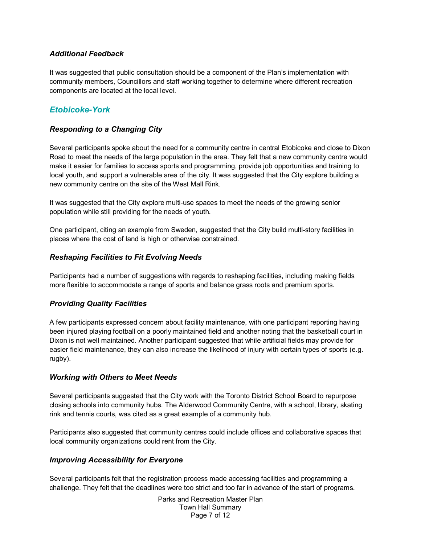#### *Additional Feedback*

It was suggested that public consultation should be a component of the Plan's implementation with community members, Councillors and staff working together to determine where different recreation components are located at the local level.

# *Etobicoke-York*

#### *Responding to a Changing City*

Several participants spoke about the need for a community centre in central Etobicoke and close to Dixon Road to meet the needs of the large population in the area. They felt that a new community centre would make it easier for families to access sports and programming, provide job opportunities and training to local youth, and support a vulnerable area of the city. It was suggested that the City explore building a new community centre on the site of the West Mall Rink.

It was suggested that the City explore multi-use spaces to meet the needs of the growing senior population while still providing for the needs of youth.

One participant, citing an example from Sweden, suggested that the City build multi-story facilities in places where the cost of land is high or otherwise constrained.

#### *Reshaping Facilities to Fit Evolving Needs*

Participants had a number of suggestions with regards to reshaping facilities, including making fields more flexible to accommodate a range of sports and balance grass roots and premium sports.

#### *Providing Quality Facilities*

A few participants expressed concern about facility maintenance, with one participant reporting having been injured playing football on a poorly maintained field and another noting that the basketball court in Dixon is not well maintained. Another participant suggested that while artificial fields may provide for easier field maintenance, they can also increase the likelihood of injury with certain types of sports (e.g. rugby).

#### *Working with Others to Meet Needs*

Several participants suggested that the City work with the Toronto District School Board to repurpose closing schools into community hubs. The Alderwood Community Centre, with a school, library, skating rink and tennis courts, was cited as a great example of a community hub.

Participants also suggested that community centres could include offices and collaborative spaces that local community organizations could rent from the City.

#### *Improving Accessibility for Everyone*

Several participants felt that the registration process made accessing facilities and programming a challenge. They felt that the deadlines were too strict and too far in advance of the start of programs.

> Parks and Recreation Master Plan Town Hall Summary Page 7 of 12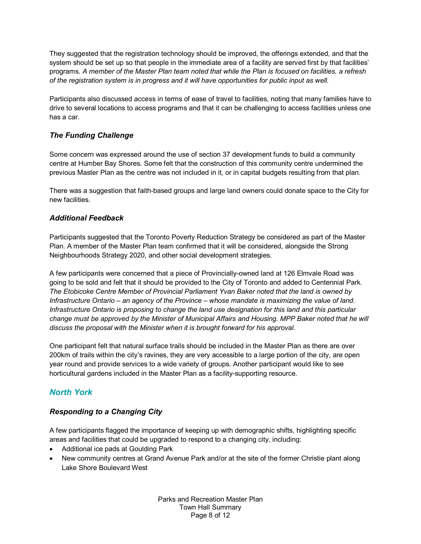They suggested that the registration technology should be improved, the offerings extended, and that the system should be set up so that people in the immediate area of a facility are served first by that facilities' programs. *A member of the Master Plan team noted that while the Plan is focused on facilities, a refresh of the registration system is in progress and it will have opportunities for public input as well.*

Participants also discussed access in terms of ease of travel to facilities, noting that many families have to drive to several locations to access programs and that it can be challenging to access facilities unless one has a car.

### *The Funding Challenge*

Some concern was expressed around the use of section 37 development funds to build a community centre at Humber Bay Shores. Some felt that the construction of this community centre undermined the previous Master Plan as the centre was not included in it, or in capital budgets resulting from that plan.

There was a suggestion that faith-based groups and large land owners could donate space to the City for new facilities.

#### *Additional Feedback*

Participants suggested that the Toronto Poverty Reduction Strategy be considered as part of the Master Plan. A member of the Master Plan team confirmed that it will be considered, alongside the Strong Neighbourhoods Strategy 2020, and other social development strategies.

A few participants were concerned that a piece of Provincially-owned land at 126 Elmvale Road was going to be sold and felt that it should be provided to the City of Toronto and added to Centennial Park. *The Etobicoke Centre Member of Provincial Parliament Yvan Baker noted that the land is owned by Infrastructure Ontario – an agency of the Province – whose mandate is maximizing the value of land. Infrastructure Ontario is proposing to change the land use designation for this land and this particular change must be approved by the Minister of Municipal Affairs and Housing. MPP Baker noted that he will discuss the proposal with the Minister when it is brought forward for his approval.*

One participant felt that natural surface trails should be included in the Master Plan as there are over 200km of trails within the city's ravines, they are very accessible to a large portion of the city, are open year round and provide services to a wide variety of groups. Another participant would like to see horticultural gardens included in the Master Plan as a facility-supporting resource.

### *North York*

#### *Responding to a Changing City*

A few participants flagged the importance of keeping up with demographic shifts, highlighting specific areas and facilities that could be upgraded to respond to a changing city, including:

- Additional ice pads at Goulding Park
- New community centres at Grand Avenue Park and/or at the site of the former Christie plant along Lake Shore Boulevard West

Parks and Recreation Master Plan Town Hall Summary Page 8 of 12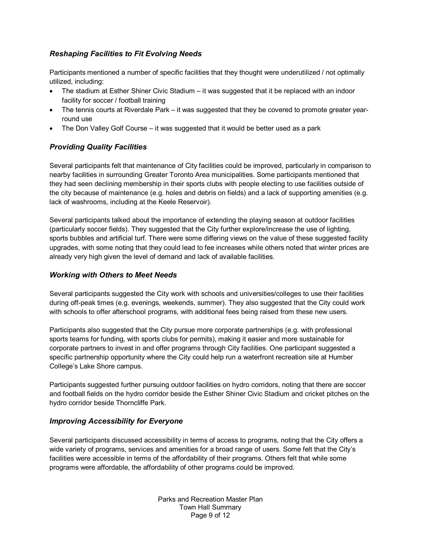### *Reshaping Facilities to Fit Evolving Needs*

Participants mentioned a number of specific facilities that they thought were underutilized / not optimally utilized, including:

- The stadium at Esther Shiner Civic Stadium it was suggested that it be replaced with an indoor facility for soccer / football training
- The tennis courts at Riverdale Park it was suggested that they be covered to promote greater yearround use
- The Don Valley Golf Course it was suggested that it would be better used as a park

#### *Providing Quality Facilities*

Several participants felt that maintenance of City facilities could be improved, particularly in comparison to nearby facilities in surrounding Greater Toronto Area municipalities. Some participants mentioned that they had seen declining membership in their sports clubs with people electing to use facilities outside of the city because of maintenance (e.g. holes and debris on fields) and a lack of supporting amenities (e.g. lack of washrooms, including at the Keele Reservoir).

Several participants talked about the importance of extending the playing season at outdoor facilities (particularly soccer fields). They suggested that the City further explore/increase the use of lighting, sports bubbles and artificial turf. There were some differing views on the value of these suggested facility upgrades, with some noting that they could lead to fee increases while others noted that winter prices are already very high given the level of demand and lack of available facilities.

#### *Working with Others to Meet Needs*

Several participants suggested the City work with schools and universities/colleges to use their facilities during off-peak times (e.g. evenings, weekends, summer). They also suggested that the City could work with schools to offer afterschool programs, with additional fees being raised from these new users.

Participants also suggested that the City pursue more corporate partnerships (e.g. with professional sports teams for funding, with sports clubs for permits), making it easier and more sustainable for corporate partners to invest in and offer programs through City facilities. One participant suggested a specific partnership opportunity where the City could help run a waterfront recreation site at Humber College's Lake Shore campus.

Participants suggested further pursuing outdoor facilities on hydro corridors, noting that there are soccer and football fields on the hydro corridor beside the Esther Shiner Civic Stadium and cricket pitches on the hydro corridor beside Thorncliffe Park.

#### *Improving Accessibility for Everyone*

Several participants discussed accessibility in terms of access to programs, noting that the City offers a wide variety of programs, services and amenities for a broad range of users. Some felt that the City's facilities were accessible in terms of the affordability of their programs. Others felt that while some programs were affordable, the affordability of other programs could be improved.

> Parks and Recreation Master Plan Town Hall Summary Page 9 of 12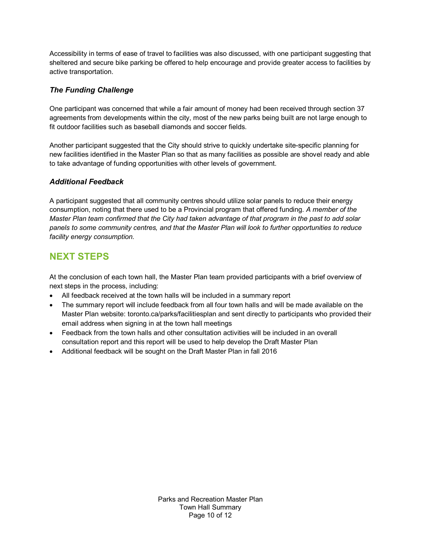Accessibility in terms of ease of travel to facilities was also discussed, with one participant suggesting that sheltered and secure bike parking be offered to help encourage and provide greater access to facilities by active transportation.

#### *The Funding Challenge*

One participant was concerned that while a fair amount of money had been received through section 37 agreements from developments within the city, most of the new parks being built are not large enough to fit outdoor facilities such as baseball diamonds and soccer fields.

Another participant suggested that the City should strive to quickly undertake site-specific planning for new facilities identified in the Master Plan so that as many facilities as possible are shovel ready and able to take advantage of funding opportunities with other levels of government.

#### *Additional Feedback*

A participant suggested that all community centres should utilize solar panels to reduce their energy consumption, noting that there used to be a Provincial program that offered funding. *A member of the Master Plan team confirmed that the City had taken advantage of that program in the past to add solar panels to some community centres, and that the Master Plan will look to further opportunities to reduce facility energy consumption.*

# **NEXT STEPS**

At the conclusion of each town hall, the Master Plan team provided participants with a brief overview of next steps in the process, including:

- All feedback received at the town halls will be included in a summary report
- The summary report will include feedback from all four town halls and will be made available on the Master Plan website: toronto.ca/parks/facilitiesplan and sent directly to participants who provided their email address when signing in at the town hall meetings
- Feedback from the town halls and other consultation activities will be included in an overall consultation report and this report will be used to help develop the Draft Master Plan
- Additional feedback will be sought on the Draft Master Plan in fall 2016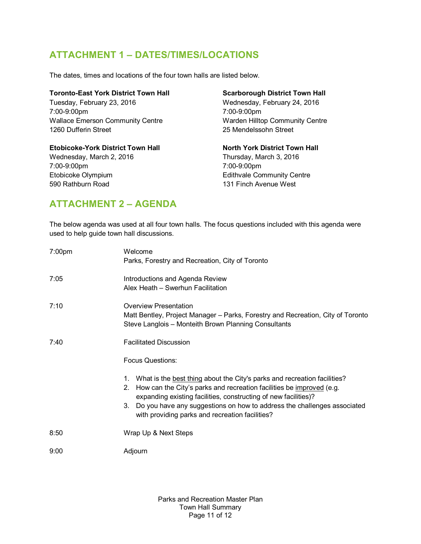# **ATTACHMENT 1 – DATES/TIMES/LOCATIONS**

The dates, times and locations of the four town halls are listed below.

| Toronto-East York District Town Hall     | <b>Scarborough District Town Hall</b> |
|------------------------------------------|---------------------------------------|
| Tuesday, February 23, 2016               | Wednesday, February 24, 2016          |
| 7:00-9:00pm                              | 7:00-9:00pm                           |
| <b>Wallace Emerson Community Centre</b>  | Warden Hilltop Community Centre       |
| 1260 Dufferin Street                     | 25 Mendelssohn Street                 |
| <b>Etobicoke-York District Town Hall</b> | <b>North York District Town Hall</b>  |
| Wednesday, March 2, 2016                 | Thursday, March 3, 2016               |
| 7:00-9:00pm                              | 7:00-9:00pm                           |
| Etobicoke Olympium                       | <b>Edithvale Community Centre</b>     |
| 590 Rathburn Road                        | 131 Finch Avenue West                 |

# **ATTACHMENT 2 – AGENDA**

The below agenda was used at all four town halls. The focus questions included with this agenda were used to help guide town hall discussions.

| 7:00 <sub>pm</sub> | Welcome<br>Parks, Forestry and Recreation, City of Toronto                                                                                                                                                                                                                                                                                                          |
|--------------------|---------------------------------------------------------------------------------------------------------------------------------------------------------------------------------------------------------------------------------------------------------------------------------------------------------------------------------------------------------------------|
| 7:05               | Introductions and Agenda Review<br>Alex Heath - Swerhun Facilitation                                                                                                                                                                                                                                                                                                |
| 7:10               | <b>Overview Presentation</b><br>Matt Bentley, Project Manager – Parks, Forestry and Recreation, City of Toronto<br>Steve Langlois - Monteith Brown Planning Consultants                                                                                                                                                                                             |
| 7:40               | <b>Facilitated Discussion</b>                                                                                                                                                                                                                                                                                                                                       |
|                    | <b>Focus Questions:</b>                                                                                                                                                                                                                                                                                                                                             |
|                    | What is the best thing about the City's parks and recreation facilities?<br>1.<br>How can the City's parks and recreation facilities be improved (e.g.<br>2.<br>expanding existing facilities, constructing of new facilities)?<br>Do you have any suggestions on how to address the challenges associated<br>3.<br>with providing parks and recreation facilities? |
| 8:50               | Wrap Up & Next Steps                                                                                                                                                                                                                                                                                                                                                |
| 9:00               | Adjourn                                                                                                                                                                                                                                                                                                                                                             |

Parks and Recreation Master Plan Town Hall Summary Page 11 of 12